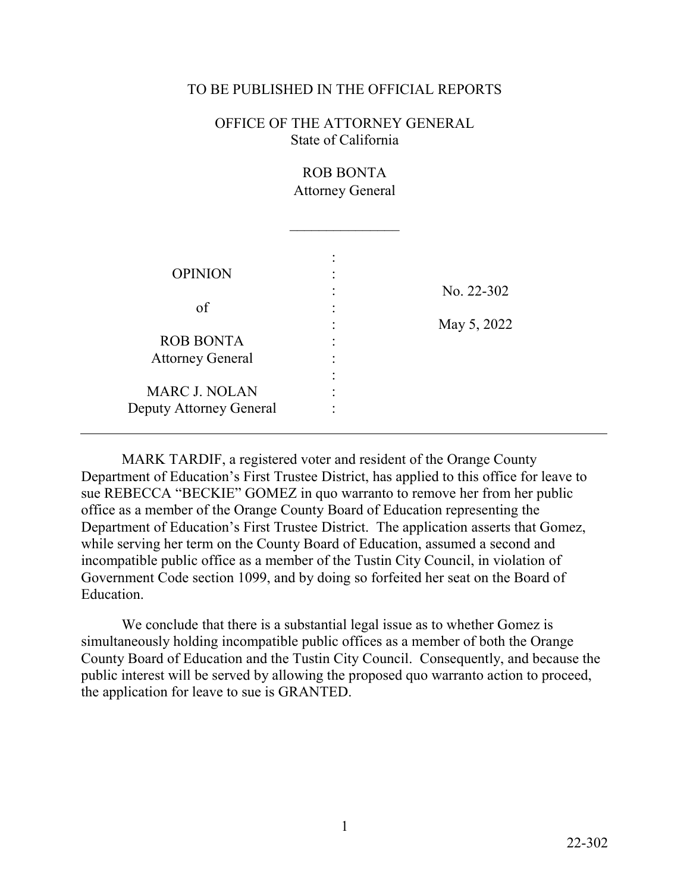### TO BE PUBLISHED IN THE OFFICIAL REPORTS

### OFFICE OF THE ATTORNEY GENERAL State of California

# ROB BONTA Attorney General

 $\overline{\phantom{a}}$  , where  $\overline{\phantom{a}}$ 

| <b>OPINION</b>                                  | No. 22-302  |
|-------------------------------------------------|-------------|
| of                                              | May 5, 2022 |
| <b>ROB BONTA</b><br><b>Attorney General</b>     |             |
| <b>MARC J. NOLAN</b><br>Deputy Attorney General |             |

 sue REBECCA "BECKIE" GOMEZ in quo warranto to remove her from her public while serving her term on the County Board of Education, assumed a second and MARK TARDIF, a registered voter and resident of the Orange County Department of Education's First Trustee District, has applied to this office for leave to office as a member of the Orange County Board of Education representing the Department of Education's First Trustee District. The application asserts that Gomez, incompatible public office as a member of the Tustin City Council, in violation of Government Code section 1099, and by doing so forfeited her seat on the Board of Education.

 County Board of Education and the Tustin City Council. Consequently, and because the We conclude that there is a substantial legal issue as to whether Gomez is simultaneously holding incompatible public offices as a member of both the Orange public interest will be served by allowing the proposed quo warranto action to proceed, the application for leave to sue is GRANTED.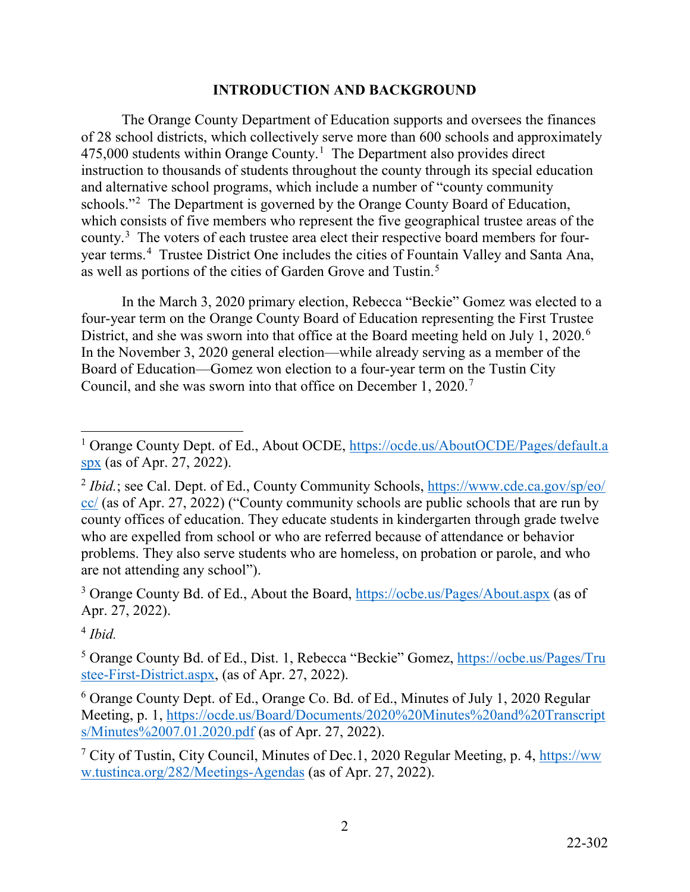# **INTRODUCTION AND BACKGROUND**

as well as portions of the cities of Garden Grove and Tustin.<sup>[5](#page-1-4)</sup> The Orange County Department of Education supports and oversees the finances of 28 school districts, which collectively serve more than 600 schools and approximately  $475,000$  students within Orange County.<sup>[1](#page-1-0)</sup> The Department also provides direct instruction to thousands of students throughout the county through its special education and alternative school programs, which include a number of "county community schools."<sup>[2](#page-1-1)</sup> The Department is governed by the Orange County Board of Education, which consists of five members who represent the five geographical trustee areas of the county.<sup>[3](#page-1-2)</sup> The voters of each trustee area elect their respective board members for fouryear terms.[4](#page-1-3) Trustee District One includes the cities of Fountain Valley and Santa Ana,

District, and she was sworn into that office at the Board meeting held on July 1, 2020.<sup>[6](#page-1-5)</sup> In the March 3, 2020 primary election, Rebecca "Beckie" Gomez was elected to a four-year term on the Orange County Board of Education representing the First Trustee In the November 3, 2020 general election—while already serving as a member of the Board of Education—Gomez won election to a four-year term on the Tustin City Council, and she was sworn into that office on December 1, 2020.[7](#page-1-6) 

<span id="page-1-3"></span><sup>4</sup>*Ibid.* 

<span id="page-1-0"></span><sup>-</sup><sup>1</sup> Orange County Dept. of Ed., About OCDE, https://ocde.us/AboutOCDE/Pages/default.a [spx](https://ocde.us/AboutOCDE/Pages/default.aspx) (as of Apr. 27, 2022).

<span id="page-1-1"></span><sup>&</sup>lt;sup>2</sup> Ibid.; see Cal. Dept. of Ed., County Community Schools, https://www.cde.ca.gov/sp/eo/ [cc/](https://www.cde.ca.gov/sp/eo/cc/) (as of Apr. 27, 2022) ("County community schools are public schools that are run by are not attending any school"). county offices of education. They educate students in kindergarten through grade twelve who are expelled from school or who are referred because of attendance or behavior problems. They also serve students who are homeless, on probation or parole, and who

<span id="page-1-2"></span><sup>&</sup>lt;sup>3</sup> Orange County Bd. of Ed., About the Board,<https://ocbe.us/Pages/About.aspx>(as of Apr. 27, 2022).

<span id="page-1-4"></span><sup>&</sup>lt;sup>5</sup> Orange County Bd. of Ed., Dist. 1, Rebecca "Beckie" Gomez, [h](https://ocbe.us/Pages/Trustee-First-District.aspx)[ttps://ocbe.us/Pages/Tru](https://ocbe.us/Pages/Tru) [stee-First-District.aspx,](https://ocbe.us/Pages/Trustee-First-District.aspx) (as of Apr. 27, 2022).

<span id="page-1-5"></span><sup>6</sup> Orange County Dept. of Ed., Orange Co. Bd. of Ed., Minutes of July 1, 2020 Regular Meeting, p. 1, [h](https://ocde.us/Board/Documents/2020%20Minutes%20and%20Transcripts/Minutes%2007.01.2020.pdf)[ttps://ocde.us/Board/Documents/2020%20Minutes%20and%20Transcrip](https://ocde.us/Board/Documents/2020%20Minutes%20and%20Transcript)[t](https://ocde.us/Board/Documents/2020%20Minutes%20and%20Transcripts/Minutes%2007.01.2020.pdf)  [s/Minutes%2007.01.2020.pdf](https://ocde.us/Board/Documents/2020%20Minutes%20and%20Transcripts/Minutes%2007.01.2020.pdf) (as of Apr. 27, 2022).

<span id="page-1-6"></span><sup>&</sup>lt;sup>7</sup> City of Tustin, City Council, Minutes of Dec.1, 2020 Regular Meeting, p. 4, https://ww [w.tustinca.org/282/Meetings-Agendas](https://www.tustinca.org/282/Meetings-Agendas) (as of Apr. 27, 2022).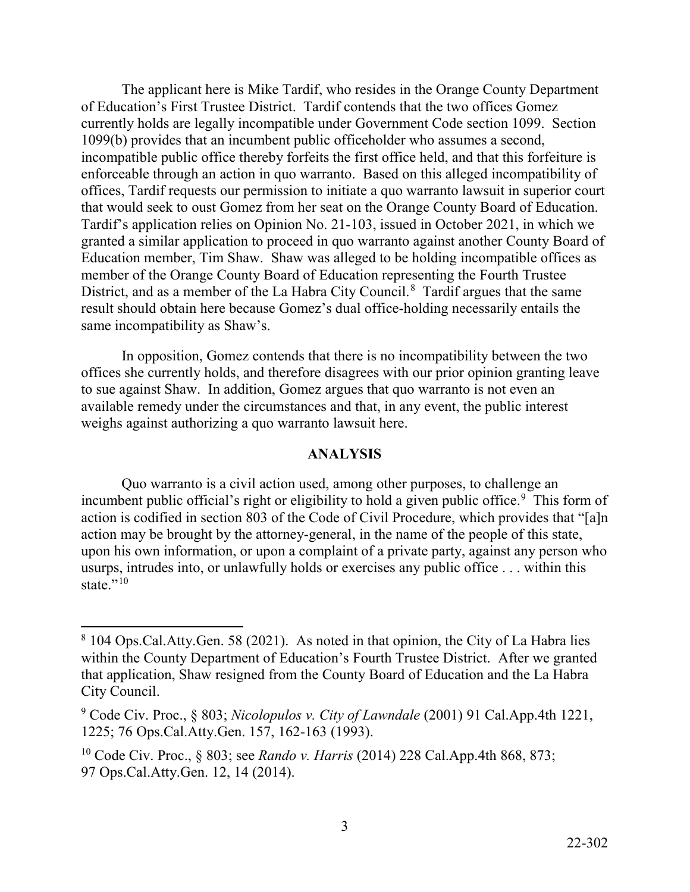that would seek to oust Gomez from her seat on the Orange County Board of Education. granted a similar application to proceed in quo warranto against another County Board of District, and as a member of the La Habra City Council. $8$  Tardif argues that the same The applicant here is Mike Tardif, who resides in the Orange County Department of Education's First Trustee District. Tardif contends that the two offices Gomez currently holds are legally incompatible under Government Code section 1099. Section 1099(b) provides that an incumbent public officeholder who assumes a second, incompatible public office thereby forfeits the first office held, and that this forfeiture is enforceable through an action in quo warranto. Based on this alleged incompatibility of offices, Tardif requests our permission to initiate a quo warranto lawsuit in superior court Tardif's application relies on Opinion No. 21-103, issued in October 2021, in which we Education member, Tim Shaw. Shaw was alleged to be holding incompatible offices as member of the Orange County Board of Education representing the Fourth Trustee result should obtain here because Gomez's dual office-holding necessarily entails the same incompatibility as Shaw's.

In opposition, Gomez contends that there is no incompatibility between the two offices she currently holds, and therefore disagrees with our prior opinion granting leave to sue against Shaw. In addition, Gomez argues that quo warranto is not even an available remedy under the circumstances and that, in any event, the public interest weighs against authorizing a quo warranto lawsuit here.

#### **ANALYSIS**

incumbent public official's right or eligibility to hold a given public office.<sup>9</sup> This form of usurps, intrudes into, or unlawfully holds or exercises any public office . . . within this state." $10$ Quo warranto is a civil action used, among other purposes, to challenge an action is codified in section 803 of the Code of Civil Procedure, which provides that "[a]n action may be brought by the attorney-general, in the name of the people of this state, upon his own information, or upon a complaint of a private party, against any person who

 $\overline{a}$ 

<span id="page-2-0"></span> $8\,104$  Ops.Cal.Atty.Gen. 58 (2021). As noted in that opinion, the City of La Habra lies within the County Department of Education's Fourth Trustee District. After we granted that application, Shaw resigned from the County Board of Education and the La Habra City Council.

<span id="page-2-1"></span><sup>9</sup> Code Civ. Proc., § 803; *Nicolopulos v. City of Lawndale* (2001) 91 Cal.App.4th 1221, 1225; 76 Ops.Cal.Atty.Gen. 157, 162-163 (1993).

<span id="page-2-2"></span><sup>10</sup> Code Civ. Proc., § 803; see *Rando v. Harris* (2014) 228 Cal.App.4th 868, 873; 97 Ops.Cal.Atty.Gen. 12, 14 (2014).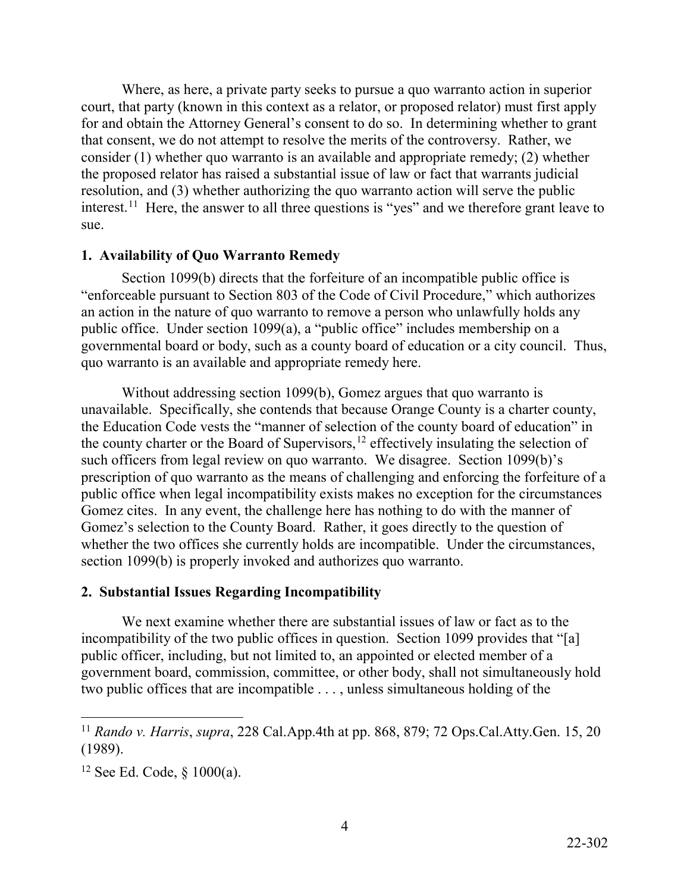[interest.](https://interest.11)<sup>11</sup> Here, the answer to all three questions is "yes" and we therefore grant leave to Where, as here, a private party seeks to pursue a quo warranto action in superior court, that party (known in this context as a relator, or proposed relator) must first apply for and obtain the Attorney General's consent to do so. In determining whether to grant that consent, we do not attempt to resolve the merits of the controversy. Rather, we consider (1) whether quo warranto is an available and appropriate remedy; (2) whether the proposed relator has raised a substantial issue of law or fact that warrants judicial resolution, and (3) whether authorizing the quo warranto action will serve the public sue.

### **1. Availability of Quo Warranto Remedy**

quo warranto is an available and appropriate remedy here. Section 1099(b) directs that the forfeiture of an incompatible public office is "enforceable pursuant to Section 803 of the Code of Civil Procedure," which authorizes an action in the nature of quo warranto to remove a person who unlawfully holds any public office. Under section 1099(a), a "public office" includes membership on a governmental board or body, such as a county board of education or a city council. Thus,

 Gomez's selection to the County Board. Rather, it goes directly to the question of Without addressing section 1099(b), Gomez argues that quo warranto is unavailable. Specifically, she contends that because Orange County is a charter county, the Education Code vests the "manner of selection of the county board of education" in the county charter or the Board of Supervisors,<sup>[12](#page-3-1)</sup> effectively insulating the selection of such officers from legal review on quo warranto. We disagree. Section 1099(b)'s prescription of quo warranto as the means of challenging and enforcing the forfeiture of a public office when legal incompatibility exists makes no exception for the circumstances Gomez cites. In any event, the challenge here has nothing to do with the manner of whether the two offices she currently holds are incompatible. Under the circumstances, section 1099(b) is properly invoked and authorizes quo warranto.

# **2. Substantial Issues Regarding Incompatibility**

 two public offices that are incompatible . . . , unless simultaneous holding of the We next examine whether there are substantial issues of law or fact as to the incompatibility of the two public offices in question. Section 1099 provides that "[a] public officer, including, but not limited to, an appointed or elected member of a government board, commission, committee, or other body, shall not simultaneously hold

<span id="page-3-0"></span> $\overline{a}$ <sup>11</sup>*Rando v. Harris*, *supra*, 228 Cal.App.4th at pp. 868, 879; 72 Ops.Cal.Atty.Gen. 15, 20 (1989).

<span id="page-3-1"></span><sup>&</sup>lt;sup>12</sup> See Ed. Code,  $\S$  1000(a).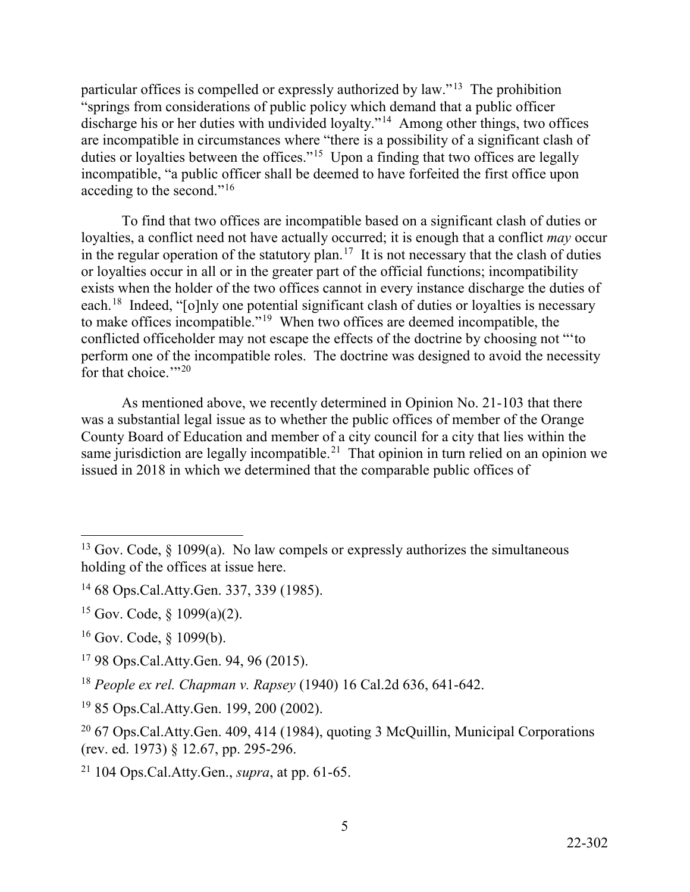particular offices is compelled or expressly authorized by law."<sup>13</sup> The prohibition discharge his or her duties with undivided loyalty."<sup>14</sup> Among other things, two offices duties or loyalties between the offices."<sup>15</sup> Upon a finding that two offices are legally "springs from considerations of public policy which demand that a public officer are incompatible in circumstances where "there is a possibility of a significant clash of incompatible, "a public officer shall be deemed to have forfeited the first office upon acceding to the second."[16](#page-4-3)

in the regular operation of the statutory plan.<sup>17</sup> It is not necessary that the clash of duties each.<sup>[18](#page-4-5)</sup> Indeed, "[o]nly one potential significant clash of duties or loyalties is necessary to make offices incompatible."<sup>[19](#page-4-6)</sup> When two offices are deemed incompatible, the conflicted officeholder may not escape the effects of the doctrine by choosing not "'to for that choice."<sup>20</sup> To find that two offices are incompatible based on a significant clash of duties or loyalties, a conflict need not have actually occurred; it is enough that a conflict *may* occur or loyalties occur in all or in the greater part of the official functions; incompatibility exists when the holder of the two offices cannot in every instance discharge the duties of perform one of the incompatible roles. The doctrine was designed to avoid the necessity

same jurisdiction are legally [incompatible.](https://incompatible.21)<sup>21</sup> That opinion in turn relied on an opinion we As mentioned above, we recently determined in Opinion No. 21-103 that there was a substantial legal issue as to whether the public offices of member of the Orange County Board of Education and member of a city council for a city that lies within the issued in 2018 in which we determined that the comparable public offices of

<span id="page-4-0"></span> $\overline{a}$ <sup>13</sup> Gov. Code,  $\S$  1099(a). No law compels or expressly authorizes the simultaneous holding of the offices at issue here.

<span id="page-4-1"></span><sup>14 68</sup> Ops.Cal.Atty.Gen. 337, 339 (1985).

<span id="page-4-2"></span><sup>&</sup>lt;sup>15</sup> Gov. Code,  $\frac{15}{9}(a)(2)$ .

<span id="page-4-3"></span> $16$  Gov. Code, § 1099(b).

<span id="page-4-4"></span> 17 98 Ops.Cal.Atty.Gen. 94, 96 (2015).

<span id="page-4-5"></span><sup>18</sup>*People ex rel. Chapman v. Rapsey* (1940) 16 Cal.2d 636, 641-642.

<span id="page-4-6"></span><sup>19 85</sup> Ops.Cal.Atty.Gen. 199, 200 (2002).

<span id="page-4-7"></span> $20\,67$  Ops.Cal.Atty.Gen. 409, 414 (1984), quoting 3 McQuillin, Municipal Corporations (rev. ed. 1973) § 12.67, pp. 295-296.

<span id="page-4-8"></span><sup>21 104</sup> Ops.Cal.Atty.Gen., *supra*, at pp. 61-65.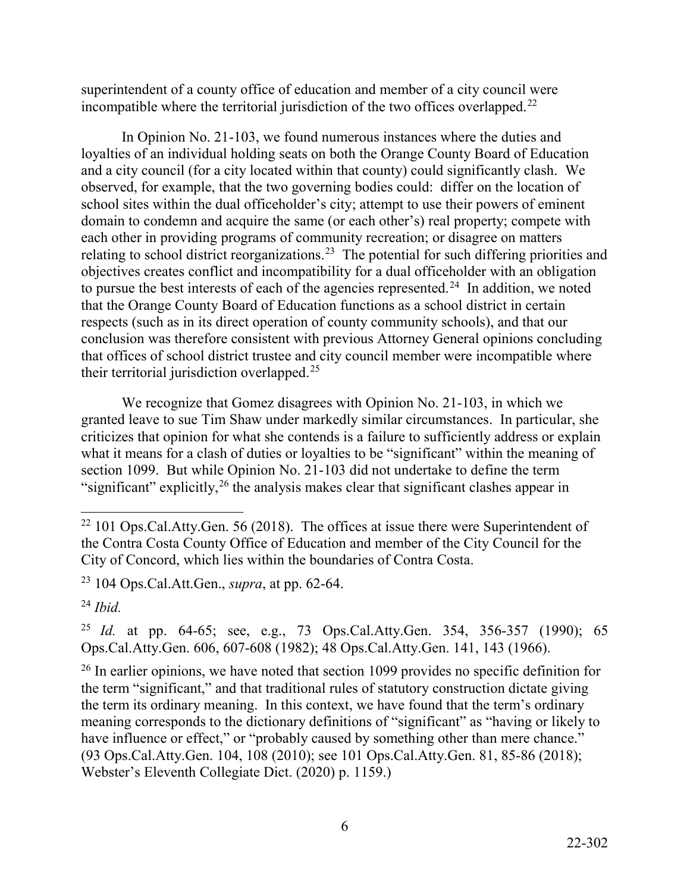incompatible where the territorial jurisdiction of the two offices overlapped.<sup>22</sup> superintendent of a county office of education and member of a city council were

 and a city council (for a city located within that county) could significantly clash. We relating to school district reorganizations.<sup>[23](#page-5-1)</sup> The potential for such differing priorities and to pursue the best interests of each of the agencies represented.<sup>24</sup> In addition, we noted conclusion was therefore consistent with previous Attorney General opinions concluding In Opinion No. 21-103, we found numerous instances where the duties and loyalties of an individual holding seats on both the Orange County Board of Education observed, for example, that the two governing bodies could: differ on the location of school sites within the dual officeholder's city; attempt to use their powers of eminent domain to condemn and acquire the same (or each other's) real property; compete with each other in providing programs of community recreation; or disagree on matters objectives creates conflict and incompatibility for a dual officeholder with an obligation that the Orange County Board of Education functions as a school district in certain respects (such as in its direct operation of county community schools), and that our that offices of school district trustee and city council member were incompatible where their territorial jurisdiction overlapped.[25](#page-5-3)

We recognize that Gomez disagrees with Opinion No. 21-103, in which we granted leave to sue Tim Shaw under markedly similar circumstances. In particular, she criticizes that opinion for what she contends is a failure to sufficiently address or explain what it means for a clash of duties or loyalties to be "significant" within the meaning of section 1099. But while Opinion No. 21-103 did not undertake to define the term "significant" explicitly,  $^{26}$  $^{26}$  $^{26}$  the analysis makes clear that significant clashes appear in

<span id="page-5-0"></span><sup>-</sup> $22$  101 Ops.Cal.Atty.Gen. 56 (2018). The offices at issue there were Superintendent of the Contra Costa County Office of Education and member of the City Council for the City of Concord, which lies within the boundaries of Contra Costa.

<span id="page-5-1"></span><sup>23 104</sup> Ops.Cal.Att.Gen., *supra*, at pp. 62-64.

<span id="page-5-2"></span><sup>24</sup>*Ibid.* 

<span id="page-5-3"></span> <sup>25</sup>*Id.* at pp. 64-65; see, e.g., 73 Ops.Cal.Atty.Gen. 354, 356-357 (1990); 65 Ops.Cal.Atty.Gen. 606, 607-608 (1982); 48 Ops.Cal.Atty.Gen. 141, 143 (1966).

<span id="page-5-4"></span><sup>&</sup>lt;sup>26</sup> In earlier opinions, we have noted that section 1099 provides no specific definition for the term "significant," and that traditional rules of statutory construction dictate giving the term its ordinary meaning. In this context, we have found that the term's ordinary meaning corresponds to the dictionary definitions of "significant" as "having or likely to have influence or effect," or "probably caused by something other than mere chance." (93 Ops.Cal.Atty.Gen. 104, 108 (2010); see 101 Ops.Cal.Atty.Gen. 81, 85-86 (2018); Webster's Eleventh Collegiate Dict. (2020) p. 1159.)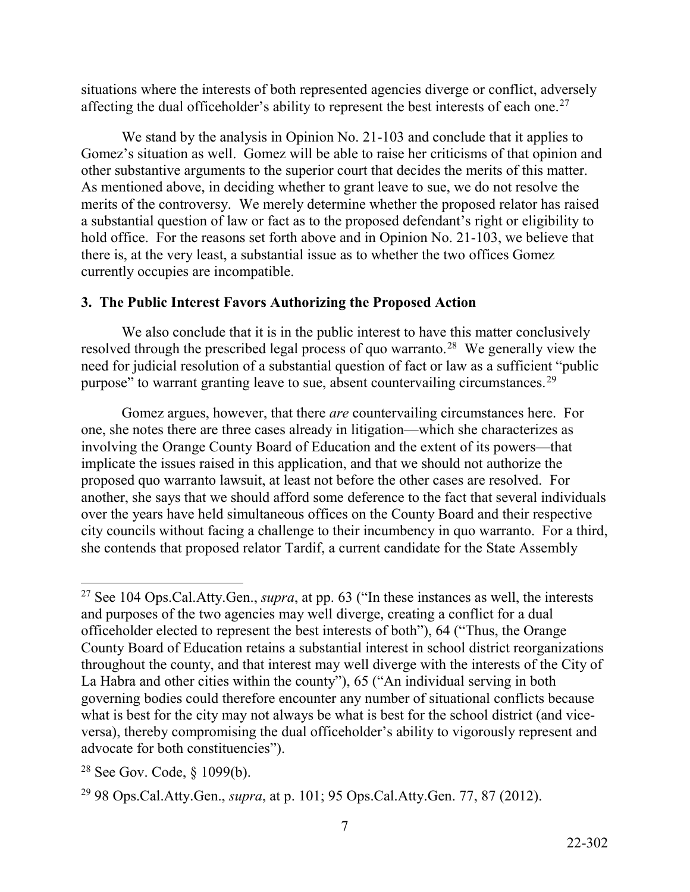situations where the interests of both represented agencies diverge or conflict, adversely affecting the dual officeholder's ability to represent the best interests of each one.<sup>[27](#page-6-0)</sup>

 As mentioned above, in deciding whether to grant leave to sue, we do not resolve the merits of the controversy. We merely determine whether the proposed relator has raised We stand by the analysis in Opinion No. 21-103 and conclude that it applies to Gomez's situation as well. Gomez will be able to raise her criticisms of that opinion and other substantive arguments to the superior court that decides the merits of this matter. a substantial question of law or fact as to the proposed defendant's right or eligibility to hold office. For the reasons set forth above and in Opinion No. 21-103, we believe that there is, at the very least, a substantial issue as to whether the two offices Gomez currently occupies are incompatible.

# **3. The Public Interest Favors Authorizing the Proposed Action**

 We also conclude that it is in the public interest to have this matter conclusively resolved through the prescribed legal process of quo warranto.<sup>28</sup> We generally view the purpose" to warrant granting leave to sue, absent countervailing circumstances.<sup>29</sup> need for judicial resolution of a substantial question of fact or law as a sufficient "public

 proposed quo warranto lawsuit, at least not before the other cases are resolved. For Gomez argues, however, that there *are* countervailing circumstances here. For one, she notes there are three cases already in litigation—which she characterizes as involving the Orange County Board of Education and the extent of its powers—that implicate the issues raised in this application, and that we should not authorize the another, she says that we should afford some deference to the fact that several individuals over the years have held simultaneous offices on the County Board and their respective city councils without facing a challenge to their incumbency in quo warranto. For a third, she contends that proposed relator Tardif, a current candidate for the State Assembly

<span id="page-6-0"></span> $\overline{a}$ 27 See 104 Ops.Cal.Atty.Gen., *supra*, at pp. 63 ("In these instances as well, the interests and purposes of the two agencies may well diverge, creating a conflict for a dual officeholder elected to represent the best interests of both"), 64 ("Thus, the Orange County Board of Education retains a substantial interest in school district reorganizations throughout the county, and that interest may well diverge with the interests of the City of La Habra and other cities within the county"), 65 ("An individual serving in both governing bodies could therefore encounter any number of situational conflicts because what is best for the city may not always be what is best for the school district (and viceversa), thereby compromising the dual officeholder's ability to vigorously represent and advocate for both constituencies").

<span id="page-6-1"></span><sup>&</sup>lt;sup>28</sup> See Gov. Code,  $§$  1099(b).

<span id="page-6-2"></span><sup>29 98</sup> Ops.Cal.Atty.Gen., *supra*, at p. 101; 95 Ops.Cal.Atty.Gen. 77, 87 (2012).